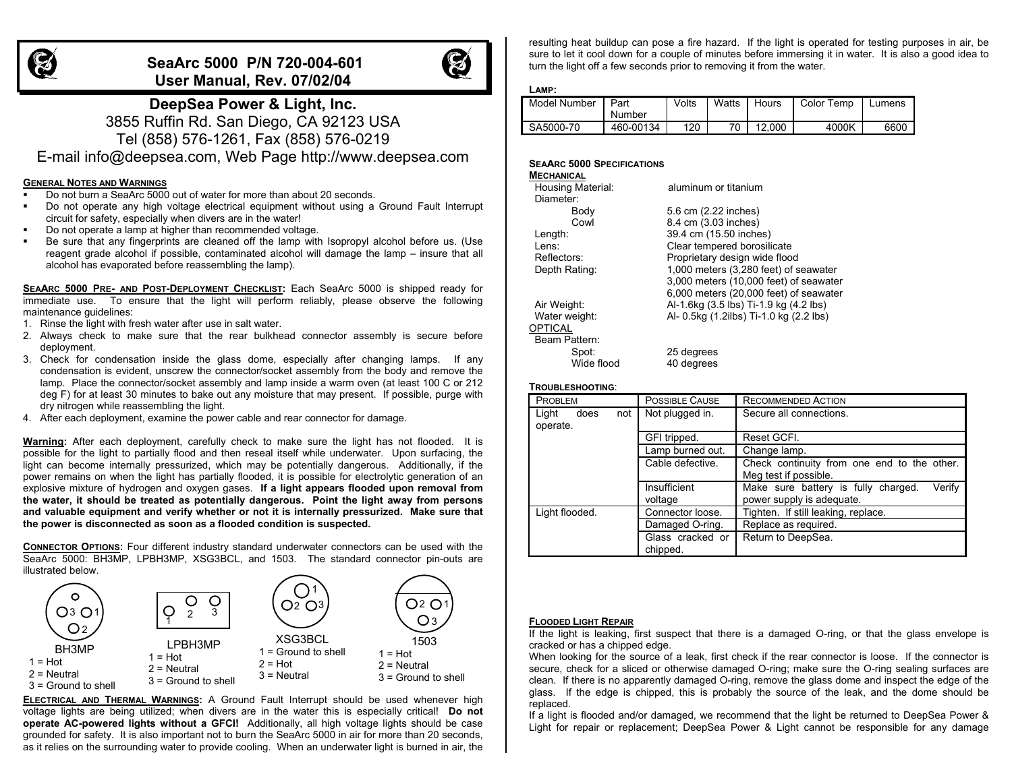# **SeaArc 5000 P/N 720-004-601 User Manual, Rev. 07/02/04**



**DeepSea Pow er & Light, Inc.** 3855 Ruffin Rd. San Diego, CA 92123 USA Tel (858) 576-1261, Fax (858) 576-0219 E-mail info@deepsea.com, Web Page http://www.deepsea.com

## **GENERAL NOTES AND WARNINGS**

- Do not burn a SeaArc 5000 out of water for more than about 20 seconds.
- Do not operate any high voltage electrical equipment without using a Ground Fault Interrupt circuit for safety, especially when divers are in the water!
- Do not operate a lamp at higher than recommended voltage.
- Be sure that any fingerprints are cleaned off the lamp with Isopropyl alcohol before us. (Use reagent grade alcohol if possible, contaminated alcohol will damage the lamp – insure that all alcohol has evaporated before reassembling the lamp).

**SEAARC 5000 PRE- AND POST-DEPLOYMENT CHECKLIST:** Each SeaArc 5000 is shipped ready for immediate use. To ensure that the light will perfor m reliably, please observe the following maintenance guidelines:

- 1. Rinse the light with fresh water after use in salt water.
- 2. Always check to make sure that the rear bulkhead connector assembly is secure before deployment.
- 3. Check for condensation inside the glass dome, especially after changing lamps. If any condensation is evident, unscrew the connector/socket assembly from the body and remove the lamp. Place the connector/socket assembly and lamp inside a warm oven (at least 100 C or 212 deg F) for at least 30 minutes to bake out any moisture that may present. If possible, purge with dry nitrogen while reassembling the light.
- 4. After each deployment, examine the power cable and rear connector for damage.

**Warning:** After each deployment, carefully check to make sure the light has not flooded. It is possible for the light to partially flood and then reseal itself while underwater. Upon surfacing, the light can become internally pressurized, which may be potentially dangerous. Additionally, if the power remains on when the light has partially flooded, it is possible for electrolytic generation of an explosive mixture of hydrogen and oxygen gases. **If a light appears flooded upon removal from the water, it should be treated as potentially dangerous. Point the light away from persons and valuable equipment and verify whether or not it is internally pressurized. Make sure that the power is disconnected as soon as a flooded condition is suspected.**

**CONNECTOR OPTIONS:** Four different industry standard underwater connectors can be used with the SeaArc 5000: BH3MP, LPBH3MP, XSG3BCL, and 1503. The standard connector pin-outs are illustrated below.



**ELECTRICAL AND THERMAL WARNINGS:** A Ground Fault Interrupt should be used whenever high voltage lights are being utilized; when divers are in the water this is especially critical! **Do not operate A C-powered lights without a GFCI!** Additionally, all high voltage lights should be case grounded for safety. It is also important not to burn the SeaArc 5000 in air for more than 20 seconds, as it relies on the surrounding water to provide cooling. When an underwater light is burned in air, the

resulting heat buildup can pose a fire hazard. If the light is operated for testing purposes in air, be sure to let it cool down for a couple of minutes before immersing it in water. It is also a good idea to turn the light off a few seconds prior to removing it from the water.

#### **LAMP:**

| Model Number | Part<br>Number | Volts | Watts | Hours  | Color Temp | Lumens |
|--------------|----------------|-------|-------|--------|------------|--------|
| SA5000-70    | 460-00134      | 120   |       | 12.000 | 4000K      | 6600   |

## **SEAARC 5000 SPECIFICATIONS**

| <b>MECHANICAL</b> |                                         |
|-------------------|-----------------------------------------|
| Housing Material: | aluminum or titanium                    |
| Diameter:         |                                         |
| Body              | 5.6 cm (2.22 inches)                    |
| Cowl              | 8.4 cm (3.03 inches)                    |
| Length:           | 39.4 cm (15.50 inches)                  |
| Lens:             | Clear tempered borosilicate             |
| Reflectors:       | Proprietary design wide flood           |
| Depth Rating:     | 1,000 meters (3,280 feet) of seawater   |
|                   | 3,000 meters (10,000 feet) of seawater  |
|                   | 6,000 meters (20,000 feet) of seawater  |
| Air Weight:       | Al-1.6kg (3.5 lbs) Ti-1.9 kg (4.2 lbs)  |
| Water weight:     | Al- 0.5kg (1.2ilbs) Ti-1.0 kg (2.2 lbs) |
| <b>OPTICAL</b>    |                                         |
| Beam Pattern:     |                                         |
| Spot:             | 25 degrees                              |
| Wide flood        | 40 degrees                              |

## **TROUBLESHOOTING**:

| PROBLEM        |     | <b>POSSIBLE CAUSE</b> | <b>RECOMMENDED ACTION</b>                     |
|----------------|-----|-----------------------|-----------------------------------------------|
| Light<br>does  | not | Not plugged in.       | Secure all connections.                       |
| operate.       |     |                       |                                               |
|                |     | GFI tripped.          | Reset GCFI.                                   |
|                |     | Lamp burned out.      | Change lamp.                                  |
|                |     | Cable defective.      | Check continuity from one end to the other.   |
|                |     |                       | Meg test if possible.                         |
|                |     | Insufficient          | Make sure battery is fully charged.<br>Verify |
|                |     | voltage               | power supply is adequate.                     |
| Light flooded. |     | Connector loose.      | Tighten. If still leaking, replace.           |
|                |     | Damaged O-ring.       | Replace as required.                          |
|                |     | Glass cracked or      | Return to DeepSea.                            |
|                |     | chipped.              |                                               |

#### **FLOODED LIGHT REPAIR**

If the light is leaking, first suspect that there is a damaged O-ring, or that the glass envelope is cracked or has a chipped edge.

When looking for the source of a leak, first check if the rear connector is loose. If the connector is secure, check for a sliced or otherwise damaged O-ring; make sure the O-ring sealing surfaces are clean. If there is no apparently damaged O-ring, remove the glass dome and inspect the edge of the glass. If the edge is chipped, this is probably the source of the leak, and the dome should be replaced.

If a light is flooded and/or damaged, we recommend that the light be returned to DeepSea Power & Light for repair or replacement; DeepSea Power & Light cannot be responsible for any damage